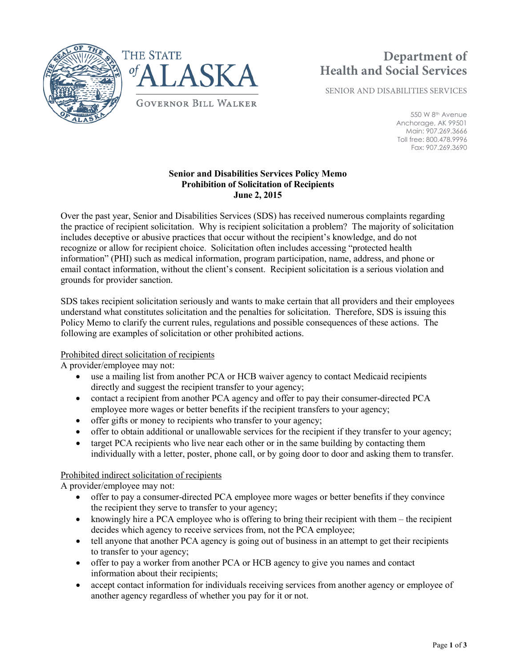



# **Department of Health and Social Services**

SENIOR AND DISABILITIES SERVICES

550 W 8th Avenue Anchorage, AK 99501 Main: 907.269.3666 Toll free: 800.478.9996 Fax: 907.269.3690

## **Senior and Disabilities Services Policy Memo Prohibition of Solicitation of Recipients June 2, 2015**

Over the past year, Senior and Disabilities Services (SDS) has received numerous complaints regarding the practice of recipient solicitation. Why is recipient solicitation a problem? The majority of solicitation includes deceptive or abusive practices that occur without the recipient's knowledge, and do not recognize or allow for recipient choice. Solicitation often includes accessing "protected health information" (PHI) such as medical information, program participation, name, address, and phone or email contact information, without the client's consent. Recipient solicitation is a serious violation and grounds for provider sanction.

SDS takes recipient solicitation seriously and wants to make certain that all providers and their employees understand what constitutes solicitation and the penalties for solicitation. Therefore, SDS is issuing this Policy Memo to clarify the current rules, regulations and possible consequences of these actions. The following are examples of solicitation or other prohibited actions.

## Prohibited direct solicitation of recipients

A provider/employee may not:

- use a mailing list from another PCA or HCB waiver agency to contact Medicaid recipients directly and suggest the recipient transfer to your agency;
- contact a recipient from another PCA agency and offer to pay their consumer-directed PCA employee more wages or better benefits if the recipient transfers to your agency;
- offer gifts or money to recipients who transfer to your agency;
- offer to obtain additional or unallowable services for the recipient if they transfer to your agency;
- target PCA recipients who live near each other or in the same building by contacting them individually with a letter, poster, phone call, or by going door to door and asking them to transfer.

## Prohibited indirect solicitation of recipients

A provider/employee may not:

- offer to pay a consumer-directed PCA employee more wages or better benefits if they convince the recipient they serve to transfer to your agency;
- knowingly hire a PCA employee who is offering to bring their recipient with them the recipient decides which agency to receive services from, not the PCA employee;
- tell anyone that another PCA agency is going out of business in an attempt to get their recipients to transfer to your agency;
- offer to pay a worker from another PCA or HCB agency to give you names and contact information about their recipients;
- accept contact information for individuals receiving services from another agency or employee of another agency regardless of whether you pay for it or not.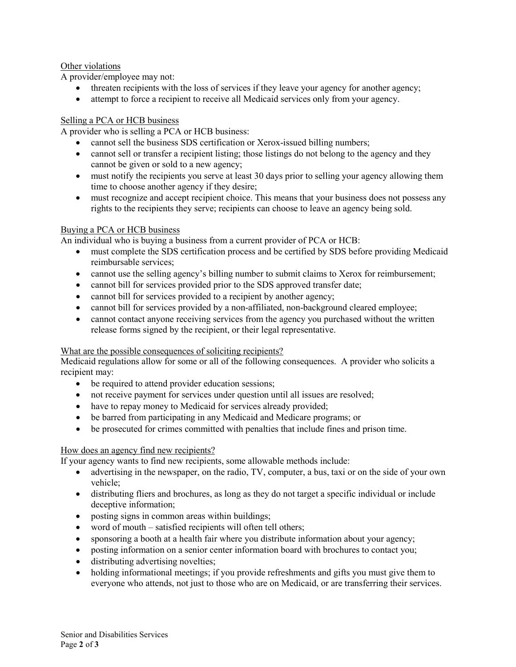## Other violations

A provider/employee may not:

- threaten recipients with the loss of services if they leave your agency for another agency;
- attempt to force a recipient to receive all Medicaid services only from your agency.

#### Selling a PCA or HCB business

A provider who is selling a PCA or HCB business:

- cannot sell the business SDS certification or Xerox-issued billing numbers;
- cannot sell or transfer a recipient listing; those listings do not belong to the agency and they cannot be given or sold to a new agency;
- must notify the recipients you serve at least 30 days prior to selling your agency allowing them time to choose another agency if they desire;
- must recognize and accept recipient choice. This means that your business does not possess any rights to the recipients they serve; recipients can choose to leave an agency being sold.

#### Buying a PCA or HCB business

An individual who is buying a business from a current provider of PCA or HCB:

- must complete the SDS certification process and be certified by SDS before providing Medicaid reimbursable services;
- cannot use the selling agency's billing number to submit claims to Xerox for reimbursement;
- cannot bill for services provided prior to the SDS approved transfer date;
- cannot bill for services provided to a recipient by another agency;
- cannot bill for services provided by a non-affiliated, non-background cleared employee;
- cannot contact anyone receiving services from the agency you purchased without the written release forms signed by the recipient, or their legal representative.

#### What are the possible consequences of soliciting recipients?

Medicaid regulations allow for some or all of the following consequences. A provider who solicits a recipient may:

- be required to attend provider education sessions;
- not receive payment for services under question until all issues are resolved;
- have to repay money to Medicaid for services already provided;
- be barred from participating in any Medicaid and Medicare programs; or
- be prosecuted for crimes committed with penalties that include fines and prison time.

#### How does an agency find new recipients?

If your agency wants to find new recipients, some allowable methods include:

- advertising in the newspaper, on the radio, TV, computer, a bus, taxi or on the side of your own vehicle;
- distributing fliers and brochures, as long as they do not target a specific individual or include deceptive information;
- posting signs in common areas within buildings;
- word of mouth satisfied recipients will often tell others;
- sponsoring a booth at a health fair where you distribute information about your agency;
- posting information on a senior center information board with brochures to contact you;
- distributing advertising novelties;
- holding informational meetings; if you provide refreshments and gifts you must give them to everyone who attends, not just to those who are on Medicaid, or are transferring their services.